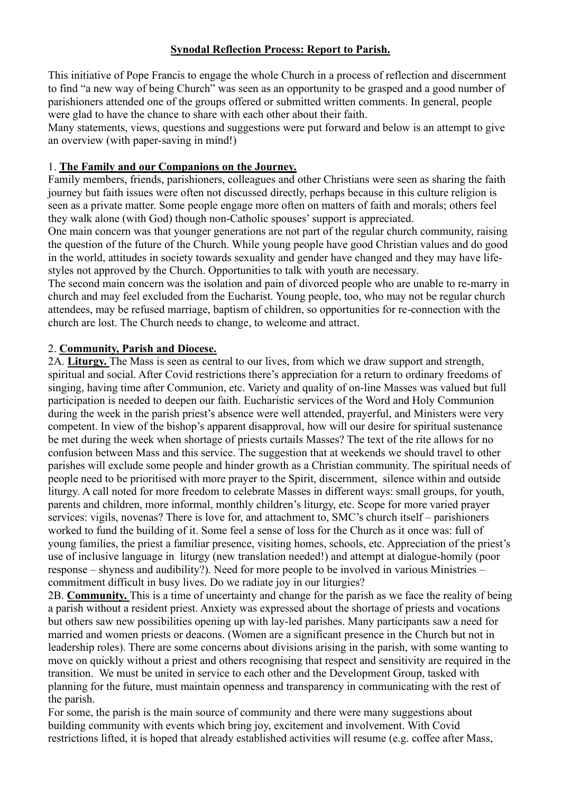## **Synodal Reflection Process: Report to Parish.**

This initiative of Pope Francis to engage the whole Church in a process of reflection and discernment to find "a new way of being Church" was seen as an opportunity to be grasped and a good number of parishioners attended one of the groups offered or submitted written comments. In general, people were glad to have the chance to share with each other about their faith.

Many statements, views, questions and suggestions were put forward and below is an attempt to give an overview (with paper-saving in mind!)

## 1. **The Family and our Companions on the Journey.**

Family members, friends, parishioners, colleagues and other Christians were seen as sharing the faith journey but faith issues were often not discussed directly, perhaps because in this culture religion is seen as a private matter. Some people engage more often on matters of faith and morals; others feel they walk alone (with God) though non-Catholic spouses' support is appreciated.

One main concern was that younger generations are not part of the regular church community, raising the question of the future of the Church. While young people have good Christian values and do good in the world, attitudes in society towards sexuality and gender have changed and they may have lifestyles not approved by the Church. Opportunities to talk with youth are necessary.

The second main concern was the isolation and pain of divorced people who are unable to re-marry in church and may feel excluded from the Eucharist. Young people, too, who may not be regular church attendees, may be refused marriage, baptism of children, so opportunities for re-connection with the church are lost. The Church needs to change, to welcome and attract.

## 2. **Community, Parish and Diocese.**

2A. **Liturgy.** The Mass is seen as central to our lives, from which we draw support and strength, spiritual and social. After Covid restrictions there's appreciation for a return to ordinary freedoms of singing, having time after Communion, etc. Variety and quality of on-line Masses was valued but full participation is needed to deepen our faith. Eucharistic services of the Word and Holy Communion during the week in the parish priest's absence were well attended, prayerful, and Ministers were very competent. In view of the bishop's apparent disapproval, how will our desire for spiritual sustenance be met during the week when shortage of priests curtails Masses? The text of the rite allows for no confusion between Mass and this service. The suggestion that at weekends we should travel to other parishes will exclude some people and hinder growth as a Christian community. The spiritual needs of people need to be prioritised with more prayer to the Spirit, discernment, silence within and outside liturgy. A call noted for more freedom to celebrate Masses in different ways: small groups, for youth, parents and children, more informal, monthly children's liturgy, etc. Scope for more varied prayer services: vigils, novenas? There is love for, and attachment to, SMC's church itself – parishioners worked to fund the building of it. Some feel a sense of loss for the Church as it once was: full of young families, the priest a familiar presence, visiting homes, schools, etc. Appreciation of the priest's use of inclusive language in liturgy (new translation needed!) and attempt at dialogue-homily (poor response – shyness and audibility?). Need for more people to be involved in various Ministries – commitment difficult in busy lives. Do we radiate joy in our liturgies?

2B. **Community.** This is a time of uncertainty and change for the parish as we face the reality of being a parish without a resident priest. Anxiety was expressed about the shortage of priests and vocations but others saw new possibilities opening up with lay-led parishes. Many participants saw a need for married and women priests or deacons. (Women are a significant presence in the Church but not in leadership roles). There are some concerns about divisions arising in the parish, with some wanting to move on quickly without a priest and others recognising that respect and sensitivity are required in the transition. We must be united in service to each other and the Development Group, tasked with planning for the future, must maintain openness and transparency in communicating with the rest of the parish.

For some, the parish is the main source of community and there were many suggestions about building community with events which bring joy, excitement and involvement. With Covid restrictions lifted, it is hoped that already established activities will resume (e.g. coffee after Mass,